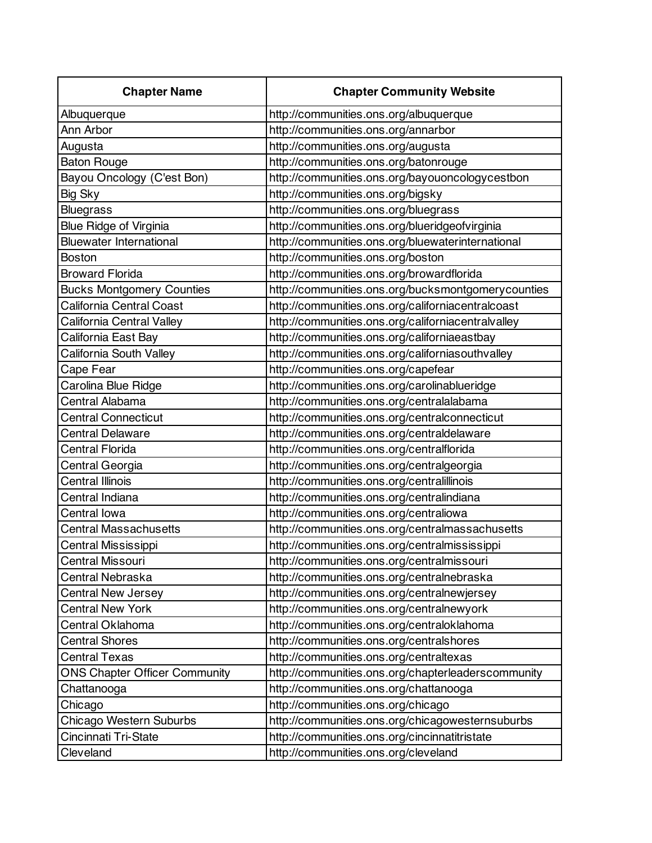| <b>Chapter Name</b>                  | <b>Chapter Community Website</b>                   |
|--------------------------------------|----------------------------------------------------|
| Albuquerque                          | http://communities.ons.org/albuquerque             |
| Ann Arbor                            | http://communities.ons.org/annarbor                |
| Augusta                              | http://communities.ons.org/augusta                 |
| <b>Baton Rouge</b>                   | http://communities.ons.org/batonrouge              |
| Bayou Oncology (C'est Bon)           | http://communities.ons.org/bayouoncologycestbon    |
| <b>Big Sky</b>                       | http://communities.ons.org/bigsky                  |
| <b>Bluegrass</b>                     | http://communities.ons.org/bluegrass               |
| <b>Blue Ridge of Virginia</b>        | http://communities.ons.org/blueridgeofvirginia     |
| <b>Bluewater International</b>       | http://communities.ons.org/bluewaterinternational  |
| <b>Boston</b>                        | http://communities.ons.org/boston                  |
| <b>Broward Florida</b>               | http://communities.ons.org/browardflorida          |
| <b>Bucks Montgomery Counties</b>     | http://communities.ons.org/bucksmontgomerycounties |
| California Central Coast             | http://communities.ons.org/californiacentralcoast  |
| California Central Valley            | http://communities.ons.org/californiacentralvalley |
| California East Bay                  | http://communities.ons.org/californiaeastbay       |
| California South Valley              | http://communities.ons.org/californiasouthvalley   |
| Cape Fear                            | http://communities.ons.org/capefear                |
| Carolina Blue Ridge                  | http://communities.ons.org/carolinablueridge       |
| Central Alabama                      | http://communities.ons.org/centralalabama          |
| <b>Central Connecticut</b>           | http://communities.ons.org/centralconnecticut      |
| <b>Central Delaware</b>              | http://communities.ons.org/centraldelaware         |
| <b>Central Florida</b>               | http://communities.ons.org/centralflorida          |
| Central Georgia                      | http://communities.ons.org/centralgeorgia          |
| <b>Central Illinois</b>              | http://communities.ons.org/centralillinois         |
| Central Indiana                      | http://communities.ons.org/centralindiana          |
| Central lowa                         | http://communities.ons.org/centraliowa             |
| <b>Central Massachusetts</b>         | http://communities.ons.org/centralmassachusetts    |
| Central Mississippi                  | http://communities.ons.org/centralmississippi      |
| <b>Central Missouri</b>              | http://communities.ons.org/centralmissouri         |
| Central Nebraska                     | http://communities.ons.org/centralnebraska         |
| <b>Central New Jersey</b>            | http://communities.ons.org/centralnewjersey        |
| <b>Central New York</b>              | http://communities.ons.org/centralnewyork          |
| Central Oklahoma                     | http://communities.ons.org/centraloklahoma         |
| <b>Central Shores</b>                | http://communities.ons.org/centralshores           |
| <b>Central Texas</b>                 | http://communities.ons.org/centraltexas            |
| <b>ONS Chapter Officer Community</b> | http://communities.ons.org/chapterleaderscommunity |
| Chattanooga                          | http://communities.ons.org/chattanooga             |
| Chicago                              | http://communities.ons.org/chicago                 |
| Chicago Western Suburbs              | http://communities.ons.org/chicagowesternsuburbs   |
| Cincinnati Tri-State                 | http://communities.ons.org/cincinnatitristate      |
| Cleveland                            | http://communities.ons.org/cleveland               |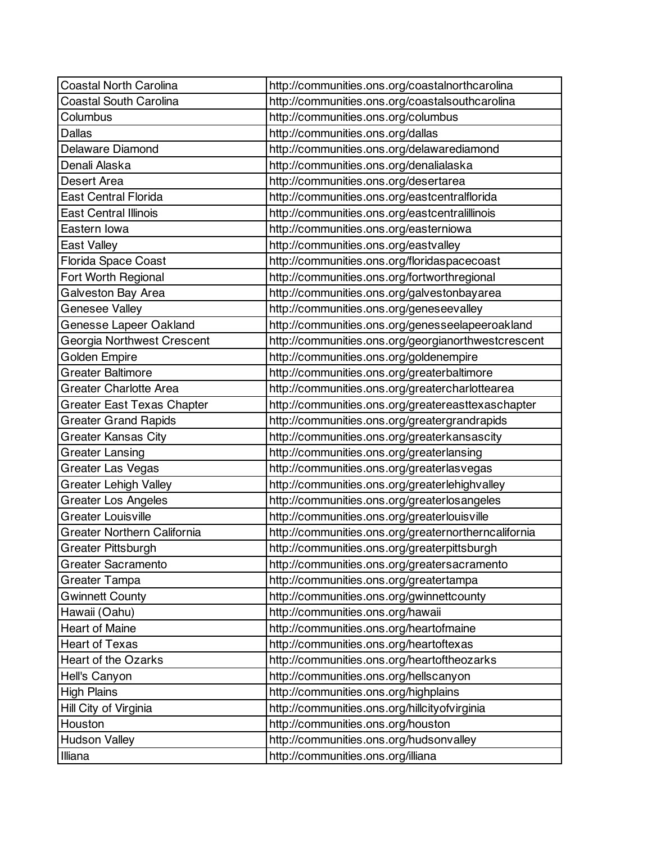| <b>Coastal North Carolina</b>      | http://communities.ons.org/coastalnorthcarolina      |
|------------------------------------|------------------------------------------------------|
| <b>Coastal South Carolina</b>      | http://communities.ons.org/coastalsouthcarolina      |
| Columbus                           | http://communities.ons.org/columbus                  |
| <b>Dallas</b>                      | http://communities.ons.org/dallas                    |
| Delaware Diamond                   | http://communities.ons.org/delawarediamond           |
| Denali Alaska                      | http://communities.ons.org/denalialaska              |
| Desert Area                        | http://communities.ons.org/desertarea                |
| <b>East Central Florida</b>        | http://communities.ons.org/eastcentralflorida        |
| <b>East Central Illinois</b>       | http://communities.ons.org/eastcentralillinois       |
| Eastern Iowa                       | http://communities.ons.org/easterniowa               |
| East Valley                        | http://communities.ons.org/eastvalley                |
| Florida Space Coast                | http://communities.ons.org/floridaspacecoast         |
| Fort Worth Regional                | http://communities.ons.org/fortworthregional         |
| Galveston Bay Area                 | http://communities.ons.org/galvestonbayarea          |
| Genesee Valley                     | http://communities.ons.org/geneseevalley             |
| Genesse Lapeer Oakland             | http://communities.ons.org/genesseelapeeroakland     |
| Georgia Northwest Crescent         | http://communities.ons.org/georgianorthwestcrescent  |
| Golden Empire                      | http://communities.ons.org/goldenempire              |
| Greater Baltimore                  | http://communities.ons.org/greaterbaltimore          |
| <b>Greater Charlotte Area</b>      | http://communities.ons.org/greatercharlottearea      |
| <b>Greater East Texas Chapter</b>  | http://communities.ons.org/greatereasttexaschapter   |
| <b>Greater Grand Rapids</b>        | http://communities.ons.org/greatergrandrapids        |
| Greater Kansas City                | http://communities.ons.org/greaterkansascity         |
| <b>Greater Lansing</b>             | http://communities.ons.org/greaterlansing            |
| Greater Las Vegas                  | http://communities.ons.org/greaterlasvegas           |
| <b>Greater Lehigh Valley</b>       | http://communities.ons.org/greaterlehighvalley       |
| <b>Greater Los Angeles</b>         | http://communities.ons.org/greaterlosangeles         |
| <b>Greater Louisville</b>          | http://communities.ons.org/greaterlouisville         |
| <b>Greater Northern California</b> | http://communities.ons.org/greaternortherncalifornia |
| <b>Greater Pittsburgh</b>          | http://communities.ons.org/greaterpittsburgh         |
| <b>Greater Sacramento</b>          | http://communities.ons.org/greatersacramento         |
| Greater Tampa                      | http://communities.ons.org/greatertampa              |
| <b>Gwinnett County</b>             | http://communities.ons.org/gwinnettcounty            |
| Hawaii (Oahu)                      | http://communities.ons.org/hawaii                    |
| <b>Heart of Maine</b>              | http://communities.ons.org/heartofmaine              |
| <b>Heart of Texas</b>              | http://communities.ons.org/heartoftexas              |
| <b>Heart of the Ozarks</b>         | http://communities.ons.org/heartoftheozarks          |
| Hell's Canyon                      | http://communities.ons.org/hellscanyon               |
| <b>High Plains</b>                 | http://communities.ons.org/highplains                |
| Hill City of Virginia              | http://communities.ons.org/hillcityofvirginia        |
| Houston                            | http://communities.ons.org/houston                   |
| <b>Hudson Valley</b>               | http://communities.ons.org/hudsonvalley              |
| Illiana                            | http://communities.ons.org/illiana                   |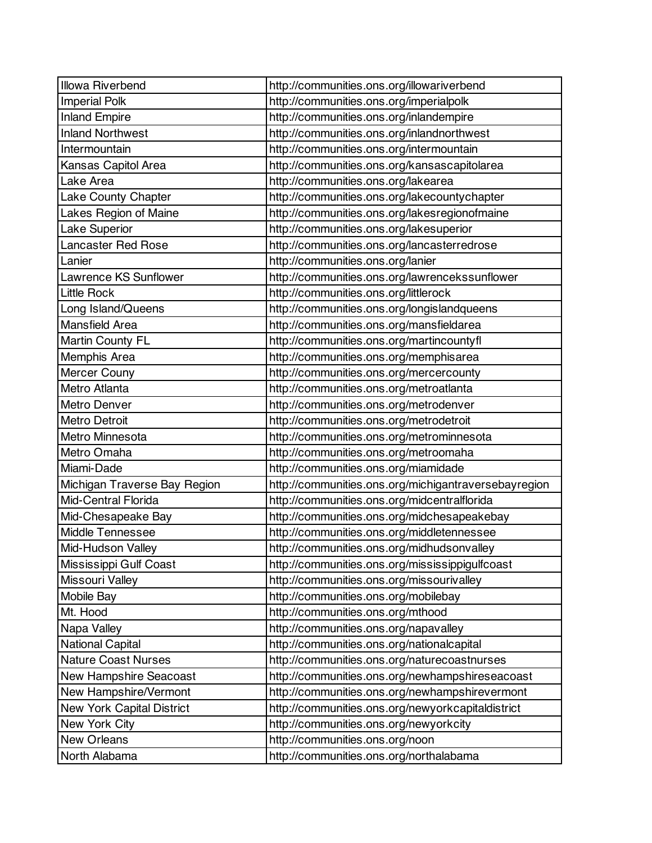| <b>Illowa Riverbend</b>          | http://communities.ons.org/illowariverbend           |
|----------------------------------|------------------------------------------------------|
| <b>Imperial Polk</b>             | http://communities.ons.org/imperialpolk              |
| <b>Inland Empire</b>             | http://communities.ons.org/inlandempire              |
| <b>Inland Northwest</b>          | http://communities.ons.org/inlandnorthwest           |
| Intermountain                    | http://communities.ons.org/intermountain             |
| Kansas Capitol Area              | http://communities.ons.org/kansascapitolarea         |
| Lake Area                        | http://communities.ons.org/lakearea                  |
| Lake County Chapter              | http://communities.ons.org/lakecountychapter         |
| Lakes Region of Maine            | http://communities.ons.org/lakesregionofmaine        |
| <b>Lake Superior</b>             | http://communities.ons.org/lakesuperior              |
| <b>Lancaster Red Rose</b>        | http://communities.ons.org/lancasterredrose          |
| Lanier                           | http://communities.ons.org/lanier                    |
| Lawrence KS Sunflower            | http://communities.ons.org/lawrencekssunflower       |
| <b>Little Rock</b>               | http://communities.ons.org/littlerock                |
| Long Island/Queens               | http://communities.ons.org/longislandqueens          |
| Mansfield Area                   | http://communities.ons.org/mansfieldarea             |
| Martin County FL                 | http://communities.ons.org/martincountyfl            |
| Memphis Area                     | http://communities.ons.org/memphisarea               |
| Mercer Couny                     | http://communities.ons.org/mercercounty              |
| Metro Atlanta                    | http://communities.ons.org/metroatlanta              |
| Metro Denver                     | http://communities.ons.org/metrodenver               |
| <b>Metro Detroit</b>             | http://communities.ons.org/metrodetroit              |
| Metro Minnesota                  | http://communities.ons.org/metrominnesota            |
| Metro Omaha                      | http://communities.ons.org/metroomaha                |
| Miami-Dade                       | http://communities.ons.org/miamidade                 |
| Michigan Traverse Bay Region     | http://communities.ons.org/michigantraversebayregion |
| Mid-Central Florida              | http://communities.ons.org/midcentralflorida         |
| Mid-Chesapeake Bay               | http://communities.ons.org/midchesapeakebay          |
| <b>Middle Tennessee</b>          | http://communities.ons.org/middletennessee           |
| Mid-Hudson Valley                | http://communities.ons.org/midhudsonvalley           |
| Mississippi Gulf Coast           | http://communities.ons.org/mississippigulfcoast      |
| Missouri Valley                  | http://communities.ons.org/missourivalley            |
| Mobile Bay                       | http://communities.ons.org/mobilebay                 |
| Mt. Hood                         | http://communities.ons.org/mthood                    |
| Napa Valley                      | http://communities.ons.org/napavalley                |
| <b>National Capital</b>          | http://communities.ons.org/nationalcapital           |
| <b>Nature Coast Nurses</b>       | http://communities.ons.org/naturecoastnurses         |
| New Hampshire Seacoast           | http://communities.ons.org/newhampshireseacoast      |
| New Hampshire/Vermont            | http://communities.ons.org/newhampshirevermont       |
| <b>New York Capital District</b> | http://communities.ons.org/newyorkcapitaldistrict    |
| New York City                    | http://communities.ons.org/newyorkcity               |
| <b>New Orleans</b>               | http://communities.ons.org/noon                      |
| North Alabama                    | http://communities.ons.org/northalabama              |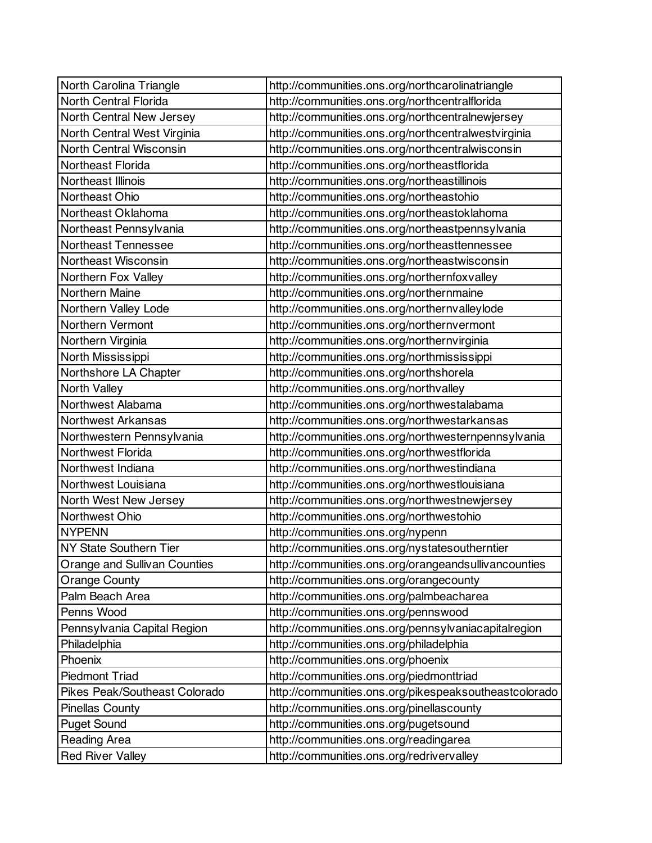| North Carolina Triangle        | http://communities.ons.org/northcarolinatriangle      |
|--------------------------------|-------------------------------------------------------|
| North Central Florida          | http://communities.ons.org/northcentralflorida        |
| North Central New Jersey       | http://communities.ons.org/northcentralnewjersey      |
| North Central West Virginia    | http://communities.ons.org/northcentralwestvirginia   |
| <b>North Central Wisconsin</b> | http://communities.ons.org/northcentralwisconsin      |
| Northeast Florida              | http://communities.ons.org/northeastflorida           |
| Northeast Illinois             | http://communities.ons.org/northeastillinois          |
| Northeast Ohio                 | http://communities.ons.org/northeastohio              |
| Northeast Oklahoma             | http://communities.ons.org/northeastoklahoma          |
| Northeast Pennsylvania         | http://communities.ons.org/northeastpennsylvania      |
| Northeast Tennessee            | http://communities.ons.org/northeasttennessee         |
| Northeast Wisconsin            | http://communities.ons.org/northeastwisconsin         |
| Northern Fox Valley            | http://communities.ons.org/northernfoxvalley          |
| Northern Maine                 | http://communities.ons.org/northernmaine              |
| Northern Valley Lode           | http://communities.ons.org/northernvalleylode         |
| Northern Vermont               | http://communities.ons.org/northernvermont            |
| Northern Virginia              | http://communities.ons.org/northernvirginia           |
| North Mississippi              | http://communities.ons.org/northmississippi           |
| Northshore LA Chapter          | http://communities.ons.org/northshorela               |
| North Valley                   | http://communities.ons.org/northvalley                |
| Northwest Alabama              | http://communities.ons.org/northwestalabama           |
| Northwest Arkansas             | http://communities.ons.org/northwestarkansas          |
| Northwestern Pennsylvania      | http://communities.ons.org/northwesternpennsylvania   |
| <b>Northwest Florida</b>       | http://communities.ons.org/northwestflorida           |
| Northwest Indiana              | http://communities.ons.org/northwestindiana           |
| Northwest Louisiana            | http://communities.ons.org/northwestlouisiana         |
| North West New Jersey          | http://communities.ons.org/northwestnewjersey         |
| Northwest Ohio                 | http://communities.ons.org/northwestohio              |
| <b>NYPENN</b>                  | http://communities.ons.org/nypenn                     |
| NY State Southern Tier         | http://communities.ons.org/nystatesoutherntier        |
| Orange and Sullivan Counties   | http://communities.ons.org/orangeandsullivancounties  |
| <b>Orange County</b>           | http://communities.ons.org/orangecounty               |
| Palm Beach Area                | http://communities.ons.org/palmbeacharea              |
| Penns Wood                     | http://communities.ons.org/pennswood                  |
| Pennsylvania Capital Region    | http://communities.ons.org/pennsylvaniacapitalregion  |
| Philadelphia                   | http://communities.ons.org/philadelphia               |
| Phoenix                        | http://communities.ons.org/phoenix                    |
| <b>Piedmont Triad</b>          | http://communities.ons.org/piedmonttriad              |
| Pikes Peak/Southeast Colorado  | http://communities.ons.org/pikespeaksoutheastcolorado |
| <b>Pinellas County</b>         | http://communities.ons.org/pinellascounty             |
| <b>Puget Sound</b>             | http://communities.ons.org/pugetsound                 |
| Reading Area                   | http://communities.ons.org/readingarea                |
| <b>Red River Valley</b>        | http://communities.ons.org/redrivervalley             |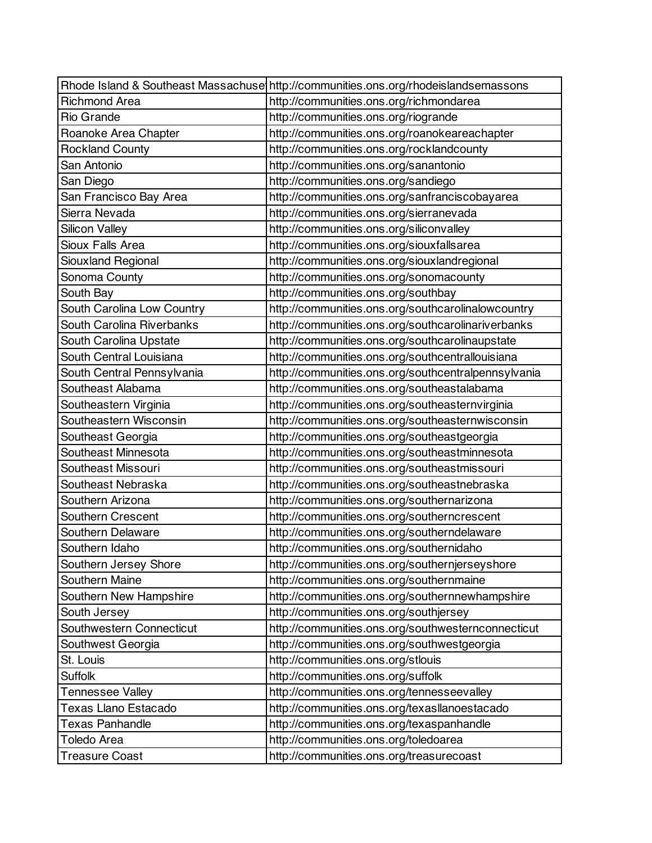|                            | Rhode Island & Southeast Massachuse http://communities.ons.org/rhodeislandsemassons |
|----------------------------|-------------------------------------------------------------------------------------|
| <b>Richmond Area</b>       | http://communities.ons.org/richmondarea                                             |
| <b>Rio Grande</b>          | http://communities.ons.org/riogrande                                                |
| Roanoke Area Chapter       | http://communities.ons.org/roanokeareachapter                                       |
| <b>Rockland County</b>     | http://communities.ons.org/rocklandcounty                                           |
| San Antonio                | http://communities.ons.org/sanantonio                                               |
| San Diego                  | http://communities.ons.org/sandiego                                                 |
| San Francisco Bay Area     | http://communities.ons.org/sanfranciscobayarea                                      |
| Sierra Nevada              | http://communities.ons.org/sierranevada                                             |
| <b>Silicon Valley</b>      | http://communities.ons.org/siliconvalley                                            |
| <b>Sioux Falls Area</b>    | http://communities.ons.org/siouxfallsarea                                           |
| Siouxland Regional         | http://communities.ons.org/siouxlandregional                                        |
| Sonoma County              | http://communities.ons.org/sonomacounty                                             |
| South Bay                  | http://communities.ons.org/southbay                                                 |
| South Carolina Low Country | http://communities.ons.org/southcarolinalowcountry                                  |
| South Carolina Riverbanks  | http://communities.ons.org/southcarolinariverbanks                                  |
| South Carolina Upstate     | http://communities.ons.org/southcarolinaupstate                                     |
| South Central Louisiana    | http://communities.ons.org/southcentrallouisiana                                    |
| South Central Pennsylvania | http://communities.ons.org/southcentralpennsylvania                                 |
| Southeast Alabama          | http://communities.ons.org/southeastalabama                                         |
| Southeastern Virginia      | http://communities.ons.org/southeasternvirginia                                     |
| Southeastern Wisconsin     | http://communities.ons.org/southeasternwisconsin                                    |
| Southeast Georgia          | http://communities.ons.org/southeastgeorgia                                         |
| Southeast Minnesota        | http://communities.ons.org/southeastminnesota                                       |
| Southeast Missouri         | http://communities.ons.org/southeastmissouri                                        |
| Southeast Nebraska         | http://communities.ons.org/southeastnebraska                                        |
| Southern Arizona           | http://communities.ons.org/southernarizona                                          |
| Southern Crescent          | http://communities.ons.org/southerncrescent                                         |
| Southern Delaware          | http://communities.ons.org/southerndelaware                                         |
| Southern Idaho             | http://communities.ons.org/southernidaho                                            |
| Southern Jersey Shore      | http://communities.ons.org/southernjerseyshore                                      |
| Southern Maine             | http://communities.ons.org/southernmaine                                            |
| Southern New Hampshire     | http://communities.ons.org/southernnewhampshire                                     |
| South Jersey               | http://communities.ons.org/southjersey                                              |
| Southwestern Connecticut   | http://communities.ons.org/southwesternconnecticut                                  |
| Southwest Georgia          | http://communities.ons.org/southwestgeorgia                                         |
| St. Louis                  | http://communities.ons.org/stlouis                                                  |
| <b>Suffolk</b>             | http://communities.ons.org/suffolk                                                  |
| <b>Tennessee Valley</b>    | http://communities.ons.org/tennesseevalley                                          |
| Texas Llano Estacado       | http://communities.ons.org/texasllanoestacado                                       |
| <b>Texas Panhandle</b>     | http://communities.ons.org/texaspanhandle                                           |
| <b>Toledo Area</b>         | http://communities.ons.org/toledoarea                                               |
| Treasure Coast             | http://communities.ons.org/treasurecoast                                            |